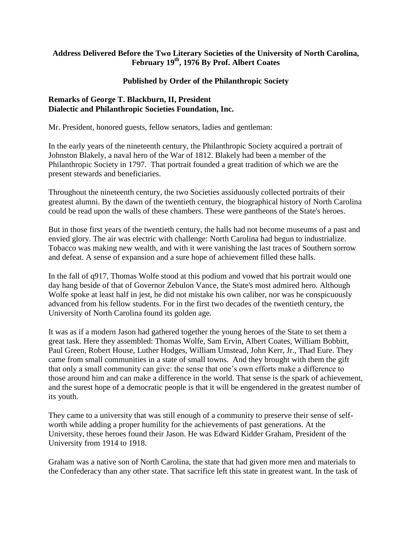# **Address Delivered Before the Two Literary Societies of the University of North Carolina, February 19th, 1976 By Prof. Albert Coates**

# **Published by Order of the Philanthropic Society**

## **Remarks of George T. Blackburn, II, President Dialectic and Philanthropic Societies Foundation, Inc.**

Mr. President, honored guests, fellow senators, ladies and gentleman:

In the early years of the nineteenth century, the Philanthropic Society acquired a portrait of Johnston Blakely, a naval hero of the War of 1812. Blakely had been a member of the Philanthropic Society in 1797. That portrait founded a great tradition of which we are the present stewards and beneficiaries.

Throughout the nineteenth century, the two Societies assiduously collected portraits of their greatest alumni. By the dawn of the twentieth century, the biographical history of North Carolina could be read upon the walls of these chambers. These were pantheons of the State's heroes.

But in those first years of the twentieth century, the halls had not become museums of a past and envied glory. The air was electric with challenge: North Carolina had begun to industrialize. Tobacco was making new wealth, and with it were vanishing the last traces of Southern sorrow and defeat. A sense of expansion and a sure hope of achievement filled these halls.

In the fall of q917, Thomas Wolfe stood at this podium and vowed that his portrait would one day hang beside of that of Governor Zebulon Vance, the State's most admired hero. Although Wolfe spoke at least half in jest, he did not mistake his own caliber, nor was he conspicuously advanced from his fellow students. For in the first two decades of the twentieth century, the University of North Carolina found its golden age.

It was as if a modern Jason had gathered together the young heroes of the State to set them a great task. Here they assembled: Thomas Wolfe, Sam Ervin, Albert Coates, William Bobbitt, Paul Green, Robert House, Luther Hodges, William Umstead, John Kerr, Jr., Thad Eure. They came from small communities in a state of small towns. And they brought with them the gift that only a small community can give: the sense that one's own efforts make a difference to those around him and can make a difference in the world. That sense is the spark of achievement, and the surest hope of a democratic people is that it will be engendered in the greatest number of its youth.

They came to a university that was still enough of a community to preserve their sense of selfworth while adding a proper humility for the achievements of past generations. At the University, these heroes found their Jason. He was Edward Kidder Graham, President of the University from 1914 to 1918.

Graham was a native son of North Carolina, the state that had given more men and materials to the Confederacy than any other state. That sacrifice left this state in greatest want. In the task of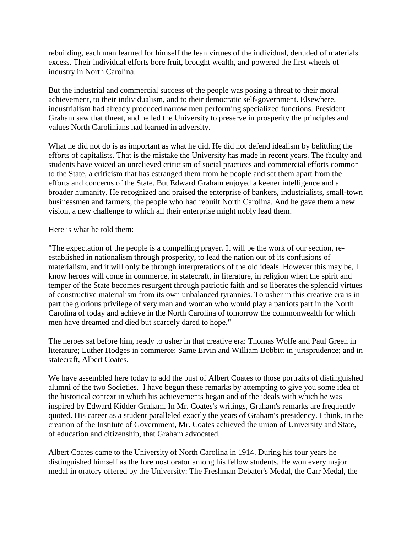rebuilding, each man learned for himself the lean virtues of the individual, denuded of materials excess. Their individual efforts bore fruit, brought wealth, and powered the first wheels of industry in North Carolina.

But the industrial and commercial success of the people was posing a threat to their moral achievement, to their individualism, and to their democratic self-government. Elsewhere, industrialism had already produced narrow men performing specialized functions. President Graham saw that threat, and he led the University to preserve in prosperity the principles and values North Carolinians had learned in adversity.

What he did not do is as important as what he did. He did not defend idealism by belittling the efforts of capitalists. That is the mistake the University has made in recent years. The faculty and students have voiced an unrelieved criticism of social practices and commercial efforts common to the State, a criticism that has estranged them from he people and set them apart from the efforts and concerns of the State. But Edward Graham enjoyed a keener intelligence and a broader humanity. He recognized and praised the enterprise of bankers, industrialists, small-town businessmen and farmers, the people who had rebuilt North Carolina. And he gave them a new vision, a new challenge to which all their enterprise might nobly lead them.

Here is what he told them:

"The expectation of the people is a compelling prayer. It will be the work of our section, reestablished in nationalism through prosperity, to lead the nation out of its confusions of materialism, and it will only be through interpretations of the old ideals. However this may be, I know heroes will come in commerce, in statecraft, in literature, in religion when the spirit and temper of the State becomes resurgent through patriotic faith and so liberates the splendid virtues of constructive materialism from its own unbalanced tyrannies. To usher in this creative era is in part the glorious privilege of very man and woman who would play a patriots part in the North Carolina of today and achieve in the North Carolina of tomorrow the commonwealth for which men have dreamed and died but scarcely dared to hope."

The heroes sat before him, ready to usher in that creative era: Thomas Wolfe and Paul Green in literature; Luther Hodges in commerce; Same Ervin and William Bobbitt in jurisprudence; and in statecraft, Albert Coates.

We have assembled here today to add the bust of Albert Coates to those portraits of distinguished alumni of the two Societies. I have begun these remarks by attempting to give you some idea of the historical context in which his achievements began and of the ideals with which he was inspired by Edward Kidder Graham. In Mr. Coates's writings, Graham's remarks are frequently quoted. His career as a student paralleled exactly the years of Graham's presidency. I think, in the creation of the Institute of Government, Mr. Coates achieved the union of University and State, of education and citizenship, that Graham advocated.

Albert Coates came to the University of North Carolina in 1914. During his four years he distinguished himself as the foremost orator among his fellow students. He won every major medal in oratory offered by the University: The Freshman Debater's Medal, the Carr Medal, the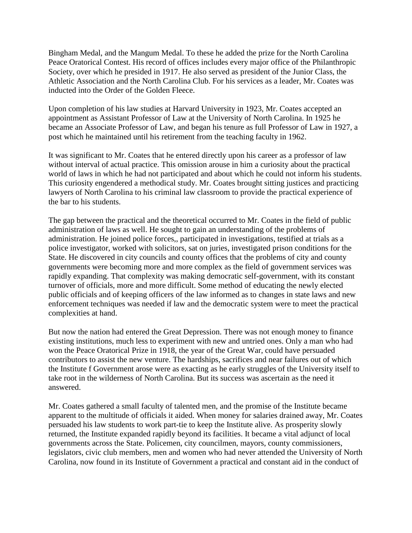Bingham Medal, and the Mangum Medal. To these he added the prize for the North Carolina Peace Oratorical Contest. His record of offices includes every major office of the Philanthropic Society, over which he presided in 1917. He also served as president of the Junior Class, the Athletic Association and the North Carolina Club. For his services as a leader, Mr. Coates was inducted into the Order of the Golden Fleece.

Upon completion of his law studies at Harvard University in 1923, Mr. Coates accepted an appointment as Assistant Professor of Law at the University of North Carolina. In 1925 he became an Associate Professor of Law, and began his tenure as full Professor of Law in 1927, a post which he maintained until his retirement from the teaching faculty in 1962.

It was significant to Mr. Coates that he entered directly upon his career as a professor of law without interval of actual practice. This omission arouse in him a curiosity about the practical world of laws in which he had not participated and about which he could not inform his students. This curiosity engendered a methodical study. Mr. Coates brought sitting justices and practicing lawyers of North Carolina to his criminal law classroom to provide the practical experience of the bar to his students.

The gap between the practical and the theoretical occurred to Mr. Coates in the field of public administration of laws as well. He sought to gain an understanding of the problems of administration. He joined police forces,, participated in investigations, testified at trials as a police investigator, worked with solicitors, sat on juries, investigated prison conditions for the State. He discovered in city councils and county offices that the problems of city and county governments were becoming more and more complex as the field of government services was rapidly expanding. That complexity was making democratic self-government, with its constant turnover of officials, more and more difficult. Some method of educating the newly elected public officials and of keeping officers of the law informed as to changes in state laws and new enforcement techniques was needed if law and the democratic system were to meet the practical complexities at hand.

But now the nation had entered the Great Depression. There was not enough money to finance existing institutions, much less to experiment with new and untried ones. Only a man who had won the Peace Oratorical Prize in 1918, the year of the Great War, could have persuaded contributors to assist the new venture. The hardships, sacrifices and near failures out of which the Institute f Government arose were as exacting as he early struggles of the University itself to take root in the wilderness of North Carolina. But its success was ascertain as the need it answered.

Mr. Coates gathered a small faculty of talented men, and the promise of the Institute became apparent to the multitude of officials it aided. When money for salaries drained away, Mr. Coates persuaded his law students to work part-tie to keep the Institute alive. As prosperity slowly returned, the Institute expanded rapidly beyond its facilities. It became a vital adjunct of local governments across the State. Policemen, city councilmen, mayors, county commissioners, legislators, civic club members, men and women who had never attended the University of North Carolina, now found in its Institute of Government a practical and constant aid in the conduct of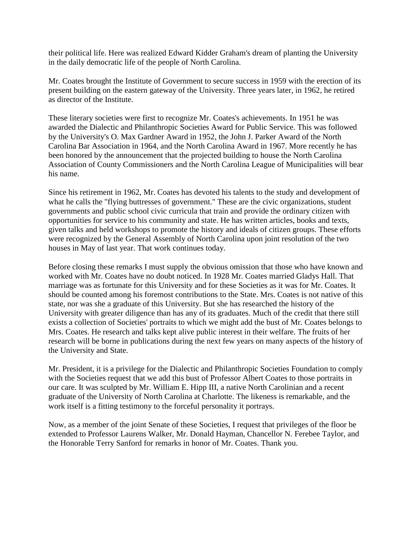their political life. Here was realized Edward Kidder Graham's dream of planting the University in the daily democratic life of the people of North Carolina.

Mr. Coates brought the Institute of Government to secure success in 1959 with the erection of its present building on the eastern gateway of the University. Three years later, in 1962, he retired as director of the Institute.

These literary societies were first to recognize Mr. Coates's achievements. In 1951 he was awarded the Dialectic and Philanthropic Societies Award for Public Service. This was followed by the University's O. Max Gardner Award in 1952, the John J. Parker Award of the North Carolina Bar Association in 1964, and the North Carolina Award in 1967. More recently he has been honored by the announcement that the projected building to house the North Carolina Association of County Commissioners and the North Carolina League of Municipalities will bear his name.

Since his retirement in 1962, Mr. Coates has devoted his talents to the study and development of what he calls the "flying buttresses of government." These are the civic organizations, student governments and public school civic curricula that train and provide the ordinary citizen with opportunities for service to his community and state. He has written articles, books and texts, given talks and held workshops to promote the history and ideals of citizen groups. These efforts were recognized by the General Assembly of North Carolina upon joint resolution of the two houses in May of last year. That work continues today.

Before closing these remarks I must supply the obvious omission that those who have known and worked with Mr. Coates have no doubt noticed. In 1928 Mr. Coates married Gladys Hall. That marriage was as fortunate for this University and for these Societies as it was for Mr. Coates. It should be counted among his foremost contributions to the State. Mrs. Coates is not native of this state, nor was she a graduate of this University. But she has researched the history of the University with greater diligence than has any of its graduates. Much of the credit that there still exists a collection of Societies' portraits to which we might add the bust of Mr. Coates belongs to Mrs. Coates. He research and talks kept alive public interest in their welfare. The fruits of her research will be borne in publications during the next few years on many aspects of the history of the University and State.

Mr. President, it is a privilege for the Dialectic and Philanthropic Societies Foundation to comply with the Societies request that we add this bust of Professor Albert Coates to those portraits in our care. It was sculpted by Mr. William E. Hipp III, a native North Carolinian and a recent graduate of the University of North Carolina at Charlotte. The likeness is remarkable, and the work itself is a fitting testimony to the forceful personality it portrays.

Now, as a member of the joint Senate of these Societies, I request that privileges of the floor be extended to Professor Laurens Walker, Mr. Donald Hayman, Chancellor N. Ferebee Taylor, and the Honorable Terry Sanford for remarks in honor of Mr. Coates. Thank you.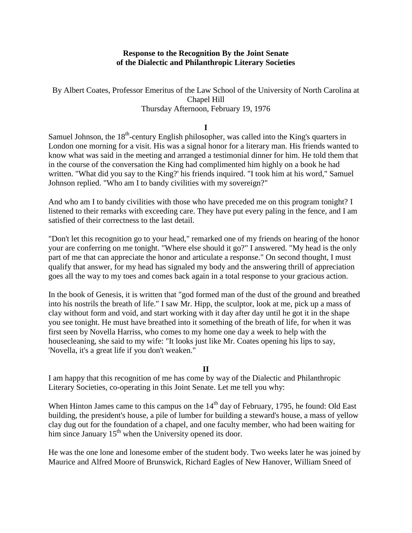### **Response to the Recognition By the Joint Senate of the Dialectic and Philanthropic Literary Societies**

### By Albert Coates, Professor Emeritus of the Law School of the University of North Carolina at Chapel Hill Thursday Afternoon, February 19, 1976

### **I**

Samuel Johnson, the 18<sup>th</sup>-century English philosopher, was called into the King's quarters in London one morning for a visit. His was a signal honor for a literary man. His friends wanted to know what was said in the meeting and arranged a testimonial dinner for him. He told them that in the course of the conversation the King had complimented him highly on a book he had written. "What did you say to the King?' his friends inquired. "I took him at his word," Samuel Johnson replied. "Who am I to bandy civilities with my sovereign?"

And who am I to bandy civilities with those who have preceded me on this program tonight? I listened to their remarks with exceeding care. They have put every paling in the fence, and I am satisfied of their correctness to the last detail.

"Don't let this recognition go to your head," remarked one of my friends on hearing of the honor your are conferring on me tonight. "Where else should it go?" I answered. "My head is the only part of me that can appreciate the honor and articulate a response." On second thought, I must qualify that answer, for my head has signaled my body and the answering thrill of appreciation goes all the way to my toes and comes back again in a total response to your gracious action.

In the book of Genesis, it is written that "god formed man of the dust of the ground and breathed into his nostrils the breath of life." I saw Mr. Hipp, the sculptor, look at me, pick up a mass of clay without form and void, and start working with it day after day until he got it in the shape you see tonight. He must have breathed into it something of the breath of life, for when it was first seen by Novella Harriss, who comes to my home one day a week to help with the housecleaning, she said to my wife: "It looks just like Mr. Coates opening his lips to say, 'Novella, it's a great life if you don't weaken."

### **II**

I am happy that this recognition of me has come by way of the Dialectic and Philanthropic Literary Societies, co-operating in this Joint Senate. Let me tell you why:

When Hinton James came to this campus on the  $14<sup>th</sup>$  day of February, 1795, he found: Old East building, the president's house, a pile of lumber for building a steward's house, a mass of yellow clay dug out for the foundation of a chapel, and one faculty member, who had been waiting for him since January  $15<sup>th</sup>$  when the University opened its door.

He was the one lone and lonesome ember of the student body. Two weeks later he was joined by Maurice and Alfred Moore of Brunswick, Richard Eagles of New Hanover, William Sneed of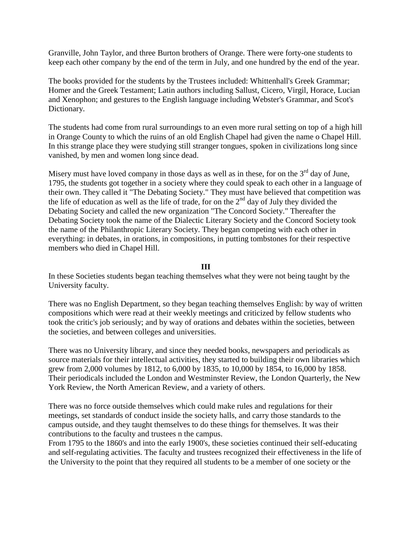Granville, John Taylor, and three Burton brothers of Orange. There were forty-one students to keep each other company by the end of the term in July, and one hundred by the end of the year.

The books provided for the students by the Trustees included: Whittenhall's Greek Grammar; Homer and the Greek Testament; Latin authors including Sallust, Cicero, Virgil, Horace, Lucian and Xenophon; and gestures to the English language including Webster's Grammar, and Scot's Dictionary.

The students had come from rural surroundings to an even more rural setting on top of a high hill in Orange County to which the ruins of an old English Chapel had given the name o Chapel Hill. In this strange place they were studying still stranger tongues, spoken in civilizations long since vanished, by men and women long since dead.

Misery must have loved company in those days as well as in these, for on the  $3<sup>rd</sup>$  day of June, 1795, the students got together in a society where they could speak to each other in a language of their own. They called it "The Debating Society." They must have believed that competition was the life of education as well as the life of trade, for on the  $2<sup>nd</sup>$  day of July they divided the Debating Society and called the new organization "The Concord Society." Thereafter the Debating Society took the name of the Dialectic Literary Society and the Concord Society took the name of the Philanthropic Literary Society. They began competing with each other in everything: in debates, in orations, in compositions, in putting tombstones for their respective members who died in Chapel Hill.

### **III**

In these Societies students began teaching themselves what they were not being taught by the University faculty.

There was no English Department, so they began teaching themselves English: by way of written compositions which were read at their weekly meetings and criticized by fellow students who took the critic's job seriously; and by way of orations and debates within the societies, between the societies, and between colleges and universities.

There was no University library, and since they needed books, newspapers and periodicals as source materials for their intellectual activities, they started to building their own libraries which grew from 2,000 volumes by 1812, to 6,000 by 1835, to 10,000 by 1854, to 16,000 by 1858. Their periodicals included the London and Westminster Review, the London Quarterly, the New York Review, the North American Review, and a variety of others.

There was no force outside themselves which could make rules and regulations for their meetings, set standards of conduct inside the society halls, and carry those standards to the campus outside, and they taught themselves to do these things for themselves. It was their contributions to the faculty and trustees n the campus.

From 1795 to the 1860's and into the early 1900's, these societies continued their self-educating and self-regulating activities. The faculty and trustees recognized their effectiveness in the life of the University to the point that they required all students to be a member of one society or the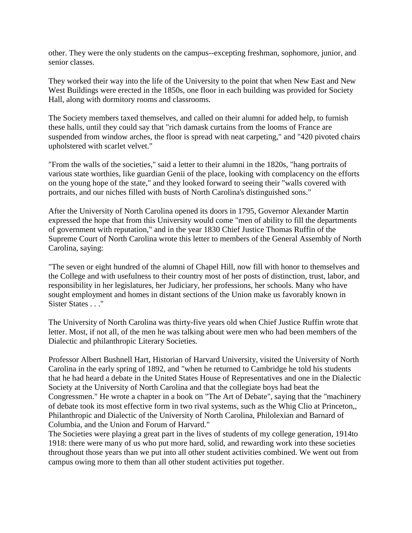other. They were the only students on the campus--excepting freshman, sophomore, junior, and senior classes.

They worked their way into the life of the University to the point that when New East and New West Buildings were erected in the 1850s, one floor in each building was provided for Society Hall, along with dormitory rooms and classrooms.

The Society members taxed themselves, and called on their alumni for added help, to furnish these halls, until they could say that "rich damask curtains from the looms of France are suspended from window arches, the floor is spread with neat carpeting," and "420 pivoted chairs upholstered with scarlet velvet."

"From the walls of the societies," said a letter to their alumni in the 1820s, "hang portraits of various state worthies, like guardian Genii of the place, looking with complacency on the efforts on the young hope of the state," and they looked forward to seeing their "walls covered with portraits, and our niches filled with busts of North Carolina's distinguished sons."

After the University of North Carolina opened its doors in 1795, Governor Alexander Martin expressed the hope that from this University would come "men of ability to fill the departments of government with reputation," and in the year 1830 Chief Justice Thomas Ruffin of the Supreme Court of North Carolina wrote this letter to members of the General Assembly of North Carolina, saying:

"The seven or eight hundred of the alumni of Chapel Hill, now fill with honor to themselves and the College and with usefulness to their country most of her posts of distinction, trust, labor, and responsibility in her legislatures, her Judiciary, her professions, her schools. Many who have sought employment and homes in distant sections of the Union make us favorably known in Sister States . . ."

The University of North Carolina was thirty-five years old when Chief Justice Ruffin wrote that letter. Most, if not all, of the men he was talking about were men who had been members of the Dialectic and philanthropic Literary Societies.

Professor Albert Bushnell Hart, Historian of Harvard University, visited the University of North Carolina in the early spring of 1892, and "when he returned to Cambridge he told his students that he had heard a debate in the United States House of Representatives and one in the Dialectic Society at the University of North Carolina and that the collegiate boys had beat the Congressmen." He wrote a chapter in a book on "The Art of Debate", saying that the "machinery of debate took its most effective form in two rival systems, such as the Whig Clio at Princeton,, Philanthropic and Dialectic of the University of North Carolina, Philolexian and Barnard of Columbia, and the Union and Forum of Harvard."

The Societies were playing a great part in the lives of students of my college generation, 1914to 1918: there were many of us who put more hard, solid, and rewarding work into these societies throughout those years than we put into all other student activities combined. We went out from campus owing more to them than all other student activities put together.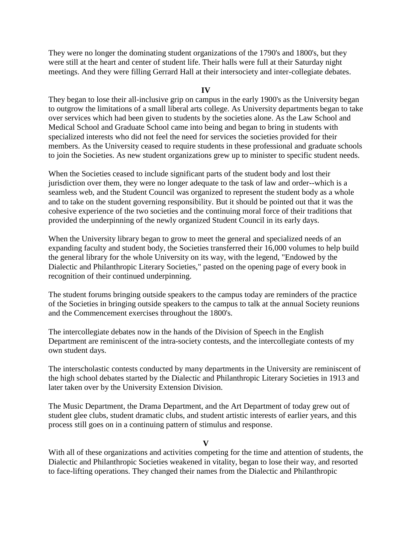They were no longer the dominating student organizations of the 1790's and 1800's, but they were still at the heart and center of student life. Their halls were full at their Saturday night meetings. And they were filling Gerrard Hall at their intersociety and inter-collegiate debates.

### **IV**

They began to lose their all-inclusive grip on campus in the early 1900's as the University began to outgrow the limitations of a small liberal arts college. As University departments began to take over services which had been given to students by the societies alone. As the Law School and Medical School and Graduate School came into being and began to bring in students with specialized interests who did not feel the need for services the societies provided for their members. As the University ceased to require students in these professional and graduate schools to join the Societies. As new student organizations grew up to minister to specific student needs.

When the Societies ceased to include significant parts of the student body and lost their jurisdiction over them, they were no longer adequate to the task of law and order--which is a seamless web, and the Student Council was organized to represent the student body as a whole and to take on the student governing responsibility. But it should be pointed out that it was the cohesive experience of the two societies and the continuing moral force of their traditions that provided the underpinning of the newly organized Student Council in its early days.

When the University library began to grow to meet the general and specialized needs of an expanding faculty and student body, the Societies transferred their 16,000 volumes to help build the general library for the whole University on its way, with the legend, "Endowed by the Dialectic and Philanthropic Literary Societies," pasted on the opening page of every book in recognition of their continued underpinning.

The student forums bringing outside speakers to the campus today are reminders of the practice of the Societies in bringing outside speakers to the campus to talk at the annual Society reunions and the Commencement exercises throughout the 1800's.

The intercollegiate debates now in the hands of the Division of Speech in the English Department are reminiscent of the intra-society contests, and the intercollegiate contests of my own student days.

The interscholastic contests conducted by many departments in the University are reminiscent of the high school debates started by the Dialectic and Philanthropic Literary Societies in 1913 and later taken over by the University Extension Division.

The Music Department, the Drama Department, and the Art Department of today grew out of student glee clubs, student dramatic clubs, and student artistic interests of earlier years, and this process still goes on in a continuing pattern of stimulus and response.

### **V**

With all of these organizations and activities competing for the time and attention of students, the Dialectic and Philanthropic Societies weakened in vitality, began to lose their way, and resorted to face-lifting operations. They changed their names from the Dialectic and Philanthropic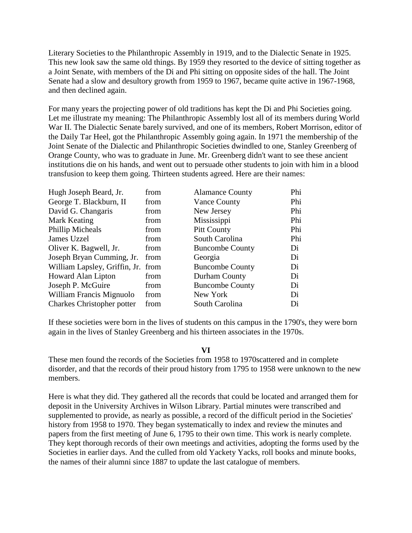Literary Societies to the Philanthropic Assembly in 1919, and to the Dialectic Senate in 1925. This new look saw the same old things. By 1959 they resorted to the device of sitting together as a Joint Senate, with members of the Di and Phi sitting on opposite sides of the hall. The Joint Senate had a slow and desultory growth from 1959 to 1967, became quite active in 1967-1968, and then declined again.

For many years the projecting power of old traditions has kept the Di and Phi Societies going. Let me illustrate my meaning: The Philanthropic Assembly lost all of its members during World War II. The Dialectic Senate barely survived, and one of its members, Robert Morrison, editor of the Daily Tar Heel, got the Philanthropic Assembly going again. In 1971 the membership of the Joint Senate of the Dialectic and Philanthropic Societies dwindled to one, Stanley Greenberg of Orange County, who was to graduate in June. Mr. Greenberg didn't want to see these ancient institutions die on his hands, and went out to persuade other students to join with him in a blood transfusion to keep them going. Thirteen students agreed. Here are their names:

| Hugh Joseph Beard, Jr.             | from | <b>Alamance County</b> | Phi |
|------------------------------------|------|------------------------|-----|
| George T. Blackburn, II            | from | Vance County           | Phi |
| David G. Changaris                 | from | New Jersey             | Phi |
| Mark Keating                       | from | Mississippi            | Phi |
| <b>Phillip Micheals</b>            | from | <b>Pitt County</b>     | Phi |
| James Uzzel                        | from | South Carolina         | Phi |
| Oliver K. Bagwell, Jr.             | from | <b>Buncombe County</b> | Di  |
| Joseph Bryan Cumming, Jr.          | from | Georgia                | Di  |
| William Lapsley, Griffin, Jr. from |      | <b>Buncombe County</b> | Di  |
| Howard Alan Lipton                 | from | Durham County          | Di  |
| Joseph P. McGuire                  | from | <b>Buncombe County</b> | Di  |
| William Francis Mignuolo           | from | New York               | Di  |
| <b>Charkes Christopher potter</b>  | from | South Carolina         | Di  |

If these societies were born in the lives of students on this campus in the 1790's, they were born again in the lives of Stanley Greenberg and his thirteen associates in the 1970s.

#### **VI**

These men found the records of the Societies from 1958 to 1970scattered and in complete disorder, and that the records of their proud history from 1795 to 1958 were unknown to the new members.

Here is what they did. They gathered all the records that could be located and arranged them for deposit in the University Archives in Wilson Library. Partial minutes were transcribed and supplemented to provide, as nearly as possible, a record of the difficult period in the Societies' history from 1958 to 1970. They began systematically to index and review the minutes and papers from the first meeting of June 6, 1795 to their own time. This work is nearly complete. They kept thorough records of their own meetings and activities, adopting the forms used by the Societies in earlier days. And the culled from old Yackety Yacks, roll books and minute books, the names of their alumni since 1887 to update the last catalogue of members.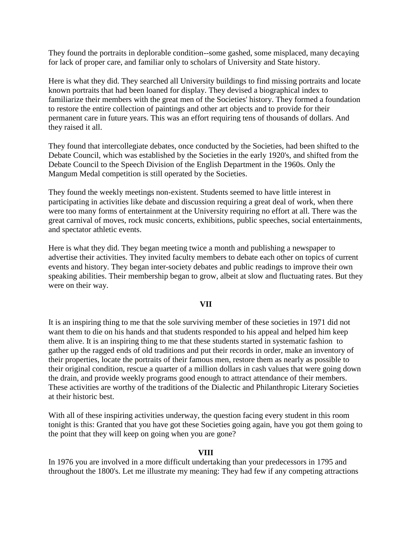They found the portraits in deplorable condition--some gashed, some misplaced, many decaying for lack of proper care, and familiar only to scholars of University and State history.

Here is what they did. They searched all University buildings to find missing portraits and locate known portraits that had been loaned for display. They devised a biographical index to familiarize their members with the great men of the Societies' history. They formed a foundation to restore the entire collection of paintings and other art objects and to provide for their permanent care in future years. This was an effort requiring tens of thousands of dollars. And they raised it all.

They found that intercollegiate debates, once conducted by the Societies, had been shifted to the Debate Council, which was established by the Societies in the early 1920's, and shifted from the Debate Council to the Speech Division of the English Department in the 1960s. Only the Mangum Medal competition is still operated by the Societies.

They found the weekly meetings non-existent. Students seemed to have little interest in participating in activities like debate and discussion requiring a great deal of work, when there were too many forms of entertainment at the University requiring no effort at all. There was the great carnival of moves, rock music concerts, exhibitions, public speeches, social entertainments, and spectator athletic events.

Here is what they did. They began meeting twice a month and publishing a newspaper to advertise their activities. They invited faculty members to debate each other on topics of current events and history. They began inter-society debates and public readings to improve their own speaking abilities. Their membership began to grow, albeit at slow and fluctuating rates. But they were on their way.

### **VII**

It is an inspiring thing to me that the sole surviving member of these societies in 1971 did not want them to die on his hands and that students responded to his appeal and helped him keep them alive. It is an inspiring thing to me that these students started in systematic fashion to gather up the ragged ends of old traditions and put their records in order, make an inventory of their properties, locate the portraits of their famous men, restore them as nearly as possible to their original condition, rescue a quarter of a million dollars in cash values that were going down the drain, and provide weekly programs good enough to attract attendance of their members. These activities are worthy of the traditions of the Dialectic and Philanthropic Literary Societies at their historic best.

With all of these inspiring activities underway, the question facing every student in this room tonight is this: Granted that you have got these Societies going again, have you got them going to the point that they will keep on going when you are gone?

### **VIII**

In 1976 you are involved in a more difficult undertaking than your predecessors in 1795 and throughout the 1800's. Let me illustrate my meaning: They had few if any competing attractions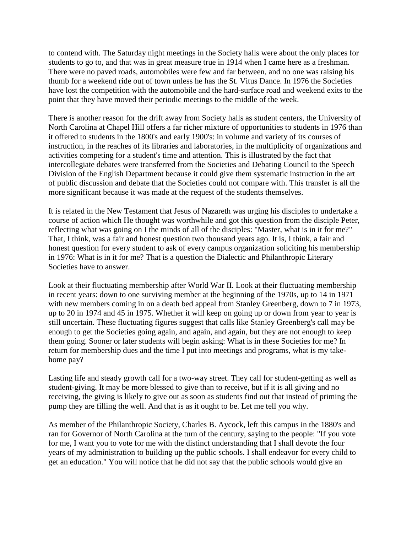to contend with. The Saturday night meetings in the Society halls were about the only places for students to go to, and that was in great measure true in 1914 when I came here as a freshman. There were no paved roads, automobiles were few and far between, and no one was raising his thumb for a weekend ride out of town unless he has the St. Vitus Dance. In 1976 the Societies have lost the competition with the automobile and the hard-surface road and weekend exits to the point that they have moved their periodic meetings to the middle of the week.

There is another reason for the drift away from Society halls as student centers, the University of North Carolina at Chapel Hill offers a far richer mixture of opportunities to students in 1976 than it offered to students in the 1800's and early 1900's: in volume and variety of its courses of instruction, in the reaches of its libraries and laboratories, in the multiplicity of organizations and activities competing for a student's time and attention. This is illustrated by the fact that intercollegiate debates were transferred from the Societies and Debating Council to the Speech Division of the English Department because it could give them systematic instruction in the art of public discussion and debate that the Societies could not compare with. This transfer is all the more significant because it was made at the request of the students themselves.

It is related in the New Testament that Jesus of Nazareth was urging his disciples to undertake a course of action which He thought was worthwhile and got this question from the disciple Peter, reflecting what was going on I the minds of all of the disciples: "Master, what is in it for me?" That, I think, was a fair and honest question two thousand years ago. It is, I think, a fair and honest question for every student to ask of every campus organization soliciting his membership in 1976: What is in it for me? That is a question the Dialectic and Philanthropic Literary Societies have to answer.

Look at their fluctuating membership after World War II. Look at their fluctuating membership in recent years: down to one surviving member at the beginning of the 1970s, up to 14 in 1971 with new members coming in on a death bed appeal from Stanley Greenberg, down to 7 in 1973, up to 20 in 1974 and 45 in 1975. Whether it will keep on going up or down from year to year is still uncertain. These fluctuating figures suggest that calls like Stanley Greenberg's call may be enough to get the Societies going again, and again, and again, but they are not enough to keep them going. Sooner or later students will begin asking: What is in these Societies for me? In return for membership dues and the time I put into meetings and programs, what is my takehome pay?

Lasting life and steady growth call for a two-way street. They call for student-getting as well as student-giving. It may be more blessed to give than to receive, but if it is all giving and no receiving, the giving is likely to give out as soon as students find out that instead of priming the pump they are filling the well. And that is as it ought to be. Let me tell you why.

As member of the Philanthropic Society, Charles B. Aycock, left this campus in the 1880's and ran for Governor of North Carolina at the turn of the century, saying to the people: "If you vote for me, I want you to vote for me with the distinct understanding that I shall devote the four years of my administration to building up the public schools. I shall endeavor for every child to get an education." You will notice that he did not say that the public schools would give an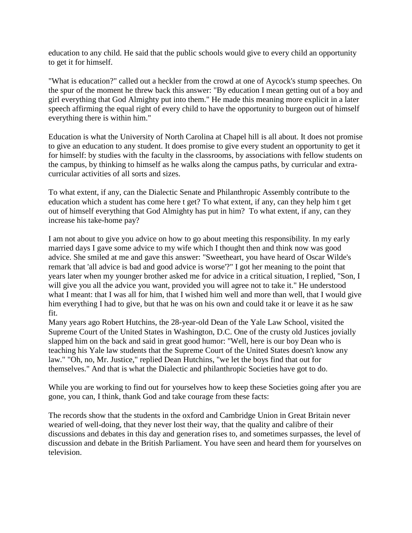education to any child. He said that the public schools would give to every child an opportunity to get it for himself.

"What is education?" called out a heckler from the crowd at one of Aycock's stump speeches. On the spur of the moment he threw back this answer: "By education I mean getting out of a boy and girl everything that God Almighty put into them." He made this meaning more explicit in a later speech affirming the equal right of every child to have the opportunity to burgeon out of himself everything there is within him."

Education is what the University of North Carolina at Chapel hill is all about. It does not promise to give an education to any student. It does promise to give every student an opportunity to get it for himself: by studies with the faculty in the classrooms, by associations with fellow students on the campus, by thinking to himself as he walks along the campus paths, by curricular and extracurricular activities of all sorts and sizes.

To what extent, if any, can the Dialectic Senate and Philanthropic Assembly contribute to the education which a student has come here t get? To what extent, if any, can they help him t get out of himself everything that God Almighty has put in him? To what extent, if any, can they increase his take-home pay?

I am not about to give you advice on how to go about meeting this responsibility. In my early married days I gave some advice to my wife which I thought then and think now was good advice. She smiled at me and gave this answer: "Sweetheart, you have heard of Oscar Wilde's remark that 'all advice is bad and good advice is worse'?" I got her meaning to the point that years later when my younger brother asked me for advice in a critical situation, I replied, "Son, I will give you all the advice you want, provided you will agree not to take it." He understood what I meant: that I was all for him, that I wished him well and more than well, that I would give him everything I had to give, but that he was on his own and could take it or leave it as he saw fit.

Many years ago Robert Hutchins, the 28-year-old Dean of the Yale Law School, visited the Supreme Court of the United States in Washington, D.C. One of the crusty old Justices jovially slapped him on the back and said in great good humor: "Well, here is our boy Dean who is teaching his Yale law students that the Supreme Court of the United States doesn't know any law." "Oh, no, Mr. Justice," replied Dean Hutchins, "we let the boys find that out for themselves." And that is what the Dialectic and philanthropic Societies have got to do.

While you are working to find out for yourselves how to keep these Societies going after you are gone, you can, I think, thank God and take courage from these facts:

The records show that the students in the oxford and Cambridge Union in Great Britain never wearied of well-doing, that they never lost their way, that the quality and calibre of their discussions and debates in this day and generation rises to, and sometimes surpasses, the level of discussion and debate in the British Parliament. You have seen and heard them for yourselves on television.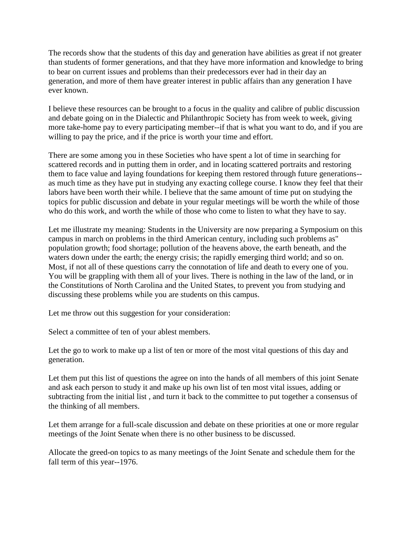The records show that the students of this day and generation have abilities as great if not greater than students of former generations, and that they have more information and knowledge to bring to bear on current issues and problems than their predecessors ever had in their day an generation, and more of them have greater interest in public affairs than any generation I have ever known.

I believe these resources can be brought to a focus in the quality and calibre of public discussion and debate going on in the Dialectic and Philanthropic Society has from week to week, giving more take-home pay to every participating member--if that is what you want to do, and if you are willing to pay the price, and if the price is worth your time and effort.

There are some among you in these Societies who have spent a lot of time in searching for scattered records and in putting them in order, and in locating scattered portraits and restoring them to face value and laying foundations for keeping them restored through future generations- as much time as they have put in studying any exacting college course. I know they feel that their labors have been worth their while. I believe that the same amount of time put on studying the topics for public discussion and debate in your regular meetings will be worth the while of those who do this work, and worth the while of those who come to listen to what they have to say.

Let me illustrate my meaning: Students in the University are now preparing a Symposium on this campus in march on problems in the third American century, including such problems as" population growth; food shortage; pollution of the heavens above, the earth beneath, and the waters down under the earth; the energy crisis; the rapidly emerging third world; and so on. Most, if not all of these questions carry the connotation of life and death to every one of you. You will be grappling with them all of your lives. There is nothing in the law of the land, or in the Constitutions of North Carolina and the United States, to prevent you from studying and discussing these problems while you are students on this campus.

Let me throw out this suggestion for your consideration:

Select a committee of ten of your ablest members.

Let the go to work to make up a list of ten or more of the most vital questions of this day and generation.

Let them put this list of questions the agree on into the hands of all members of this joint Senate and ask each person to study it and make up his own list of ten most vital issues, adding or subtracting from the initial list , and turn it back to the committee to put together a consensus of the thinking of all members.

Let them arrange for a full-scale discussion and debate on these priorities at one or more regular meetings of the Joint Senate when there is no other business to be discussed.

Allocate the greed-on topics to as many meetings of the Joint Senate and schedule them for the fall term of this year--1976.